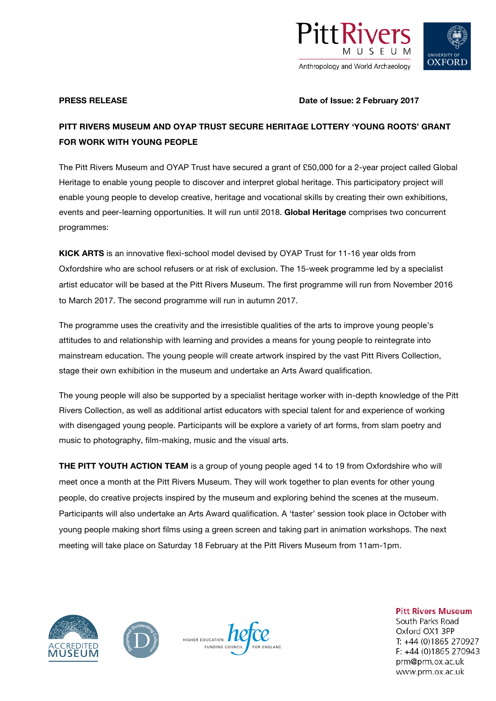

# **OXFORD**

**PRESS RELEASE DATE:** Date of Issue: 2 February 2017

## **PITT RIVERS MUSEUM AND OYAP TRUST SECURE HERITAGE LOTTERY 'YOUNG ROOTS' GRANT FOR WORK WITH YOUNG PEOPLE**

The Pitt Rivers Museum and OYAP Trust have secured a grant of £50,000 for a 2-year project called Global Heritage to enable young people to discover and interpret global heritage. This participatory project will enable young people to develop creative, heritage and vocational skills by creating their own exhibitions, events and peer-learning opportunities. It will run until 2018. **Global Heritage** comprises two concurrent programmes:

**KICK ARTS** is an innovative flexi-school model devised by OYAP Trust for 11-16 year olds from Oxfordshire who are school refusers or at risk of exclusion. The 15-week programme led by a specialist artist educator will be based at the Pitt Rivers Museum. The first programme will run from November 2016 to March 2017. The second programme will run in autumn 2017.

The programme uses the creativity and the irresistible qualities of the arts to improve young people's attitudes to and relationship with learning and provides a means for young people to reintegrate into mainstream education. The young people will create artwork inspired by the vast Pitt Rivers Collection, stage their own exhibition in the museum and undertake an Arts Award qualification.

The young people will also be supported by a specialist heritage worker with in-depth knowledge of the Pitt Rivers Collection, as well as additional artist educators with special talent for and experience of working with disengaged young people. Participants will be explore a variety of art forms, from slam poetry and music to photography, film-making, music and the visual arts.

**THE PITT YOUTH ACTION TEAM** is a group of young people aged 14 to 19 from Oxfordshire who will meet once a month at the Pitt Rivers Museum. They will work together to plan events for other young people, do creative projects inspired by the museum and exploring behind the scenes at the museum. Participants will also undertake an Arts Award qualification. A 'taster' session took place in October with young people making short films using a green screen and taking part in animation workshops. The next meeting will take place on Saturday 18 February at the Pitt Rivers Museum from 11am-1pm.







**Pitt Rivers Museum** South Parks Road Oxford OX1 3PP T: +44 (0)1865 270927 F: +44 (0)1865 270943 prm@prm.ox.ac.uk www.prm.ox.ac.uk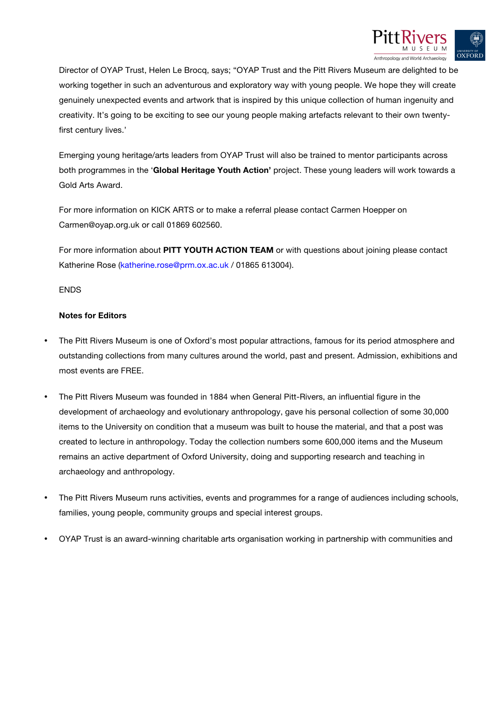

Director of OYAP Trust, Helen Le Brocq, says; "OYAP Trust and the Pitt Rivers Museum are delighted to be working together in such an adventurous and exploratory way with young people. We hope they will create genuinely unexpected events and artwork that is inspired by this unique collection of human ingenuity and creativity. It's going to be exciting to see our young people making artefacts relevant to their own twentyfirst century lives.'

Emerging young heritage/arts leaders from OYAP Trust will also be trained to mentor participants across both programmes in the '**Global Heritage Youth Action'** project. These young leaders will work towards a Gold Arts Award.

For more information on KICK ARTS or to make a referral please contact Carmen Hoepper on Carmen@oyap.org.uk or call 01869 602560.

For more information about **PITT YOUTH ACTION TEAM** or with questions about joining please contact Katherine Rose (katherine.rose@prm.ox.ac.uk / 01865 613004).

### **ENDS**

### **Notes for Editors**

- The Pitt Rivers Museum is one of Oxford's most popular attractions, famous for its period atmosphere and outstanding collections from many cultures around the world, past and present. Admission, exhibitions and most events are FREE.
- The Pitt Rivers Museum was founded in 1884 when General Pitt-Rivers, an influential figure in the development of archaeology and evolutionary anthropology, gave his personal collection of some 30,000 items to the University on condition that a museum was built to house the material, and that a post was created to lecture in anthropology. Today the collection numbers some 600,000 items and the Museum remains an active department of Oxford University, doing and supporting research and teaching in archaeology and anthropology.
- The Pitt Rivers Museum runs activities, events and programmes for a range of audiences including schools, families, young people, community groups and special interest groups.
- OYAP Trust is an award-winning charitable arts organisation working in partnership with communities and